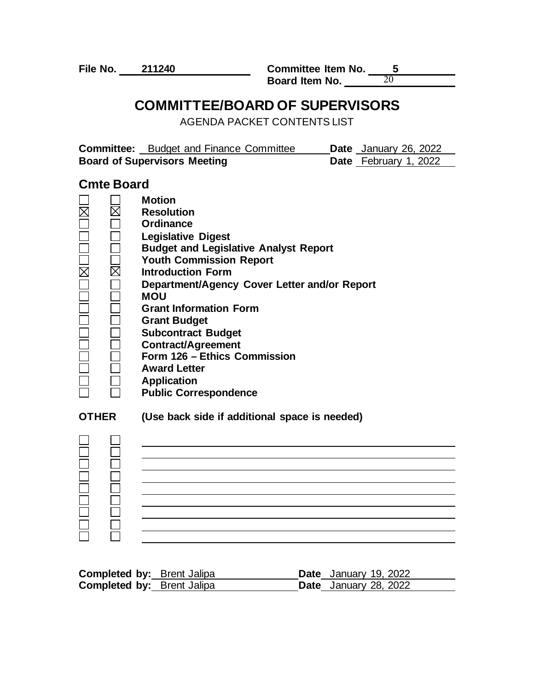**File No. 211240 Committee Item No. 5 Board Item No.**  20

### **COMMITTEE/BOARD OF SUPERVISORS**

AGENDA PACKET CONTENTS LIST

| <b>Committee:</b> Budget and Finance Committee | <b>Date</b> January 26, 2022 |
|------------------------------------------------|------------------------------|
| <b>Board of Supervisors Meeting</b>            | <b>Date</b> February 1, 2022 |

#### **Cmte Board**

|              | <b>Motion</b>                                 |
|--------------|-----------------------------------------------|
|              | <b>Resolution</b>                             |
|              | Ordinance                                     |
|              | <b>Legislative Digest</b>                     |
|              | <b>Budget and Legislative Analyst Report</b>  |
|              | <b>Youth Commission Report</b>                |
| $\boxtimes$  | <b>Introduction Form</b>                      |
|              | Department/Agency Cover Letter and/or Report  |
|              | <b>MOU</b>                                    |
|              | <b>Grant Information Form</b>                 |
|              | <b>Grant Budget</b>                           |
|              | <b>Subcontract Budget</b>                     |
|              | <b>Contract/Agreement</b>                     |
|              | Form 126 - Ethics Commission                  |
|              | <b>Award Letter</b>                           |
|              | <b>Application</b>                            |
|              | <b>Public Correspondence</b>                  |
| <b>OTHER</b> | (Use back side if additional space is needed) |
|              |                                               |
|              |                                               |
|              |                                               |
|              |                                               |
|              |                                               |
|              |                                               |
|              |                                               |
|              |                                               |
|              |                                               |
|              |                                               |

| <b>Completed by: Brent Jalipa</b> |  | <b>Date</b> January 19, 2022 |
|-----------------------------------|--|------------------------------|
| <b>Completed by: Brent Jalipa</b> |  | <b>Date</b> January 28, 2022 |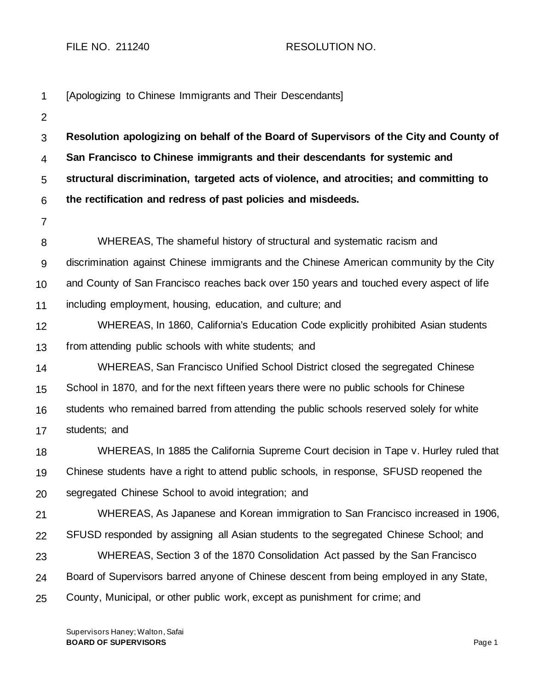FILE NO. 211240 RESOLUTION NO.

| 1              | [Apologizing to Chinese Immigrants and Their Descendants]                                |
|----------------|------------------------------------------------------------------------------------------|
| $\overline{2}$ |                                                                                          |
| 3              | Resolution apologizing on behalf of the Board of Supervisors of the City and County of   |
| $\overline{4}$ | San Francisco to Chinese immigrants and their descendants for systemic and               |
| 5              | structural discrimination, targeted acts of violence, and atrocities; and committing to  |
| 6              | the rectification and redress of past policies and misdeeds.                             |
| $\overline{7}$ |                                                                                          |
| 8              | WHEREAS, The shameful history of structural and systematic racism and                    |
| $9\,$          | discrimination against Chinese immigrants and the Chinese American community by the City |
| 10             | and County of San Francisco reaches back over 150 years and touched every aspect of life |
| 11             | including employment, housing, education, and culture; and                               |
| 12             | WHEREAS, In 1860, California's Education Code explicitly prohibited Asian students       |
| 13             | from attending public schools with white students; and                                   |
| 14             | WHEREAS, San Francisco Unified School District closed the segregated Chinese             |
| 15             | School in 1870, and for the next fifteen years there were no public schools for Chinese  |
| 16             | students who remained barred from attending the public schools reserved solely for white |
| 17             | students; and                                                                            |
| 18             | WHEREAS, In 1885 the California Supreme Court decision in Tape v. Hurley ruled that      |
| 19             | Chinese students have a right to attend public schools, in response, SFUSD reopened the  |
| 20             | segregated Chinese School to avoid integration; and                                      |
| 21             | WHEREAS, As Japanese and Korean immigration to San Francisco increased in 1906,          |
| 22             | SFUSD responded by assigning all Asian students to the segregated Chinese School; and    |
| 23             | WHEREAS, Section 3 of the 1870 Consolidation Act passed by the San Francisco             |
| 24             | Board of Supervisors barred anyone of Chinese descent from being employed in any State,  |
| 25             | County, Municipal, or other public work, except as punishment for crime; and             |
|                |                                                                                          |

Supervisors Haney; Walton, Safai **BOARD OF SUPERVISORS** Page 1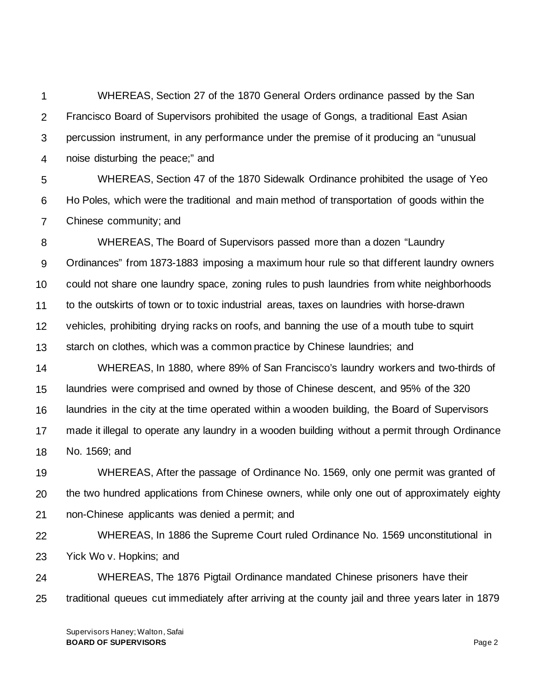1 2 3 4 WHEREAS, Section 27 of the 1870 General Orders ordinance passed by the San Francisco Board of Supervisors prohibited the usage of Gongs, a traditional East Asian percussion instrument, in any performance under the premise of it producing an "unusual noise disturbing the peace;" and

5 6 7 WHEREAS, Section 47 of the 1870 Sidewalk Ordinance prohibited the usage of Yeo Ho Poles, which were the traditional and main method of transportation of goods within the Chinese community; and

8 9 10 11 12 13 WHEREAS, The Board of Supervisors passed more than a dozen "Laundry Ordinances" from 1873-1883 imposing a maximum hour rule so that different laundry owners could not share one laundry space, zoning rules to push laundries from white neighborhoods to the outskirts of town or to toxic industrial areas, taxes on laundries with horse-drawn vehicles, prohibiting drying racks on roofs, and banning the use of a mouth tube to squirt starch on clothes, which was a common practice by Chinese laundries; and

14 15 16 17 18 WHEREAS, In 1880, where 89% of San Francisco's laundry workers and two-thirds of laundries were comprised and owned by those of Chinese descent, and 95% of the 320 laundries in the city at the time operated within a wooden building, the Board of Supervisors made it illegal to operate any laundry in a wooden building without a permit through Ordinance No. 1569; and

19 20 21 WHEREAS, After the passage of Ordinance No. 1569, only one permit was granted of the two hundred applications from Chinese owners, while only one out of approximately eighty non-Chinese applicants was denied a permit; and

22 23 WHEREAS, In 1886 the Supreme Court ruled Ordinance No. 1569 unconstitutional in Yick Wo v. Hopkins; and

24 25 WHEREAS, The 1876 Pigtail Ordinance mandated Chinese prisoners have their traditional queues cut immediately after arriving at the county jail and three years later in 1879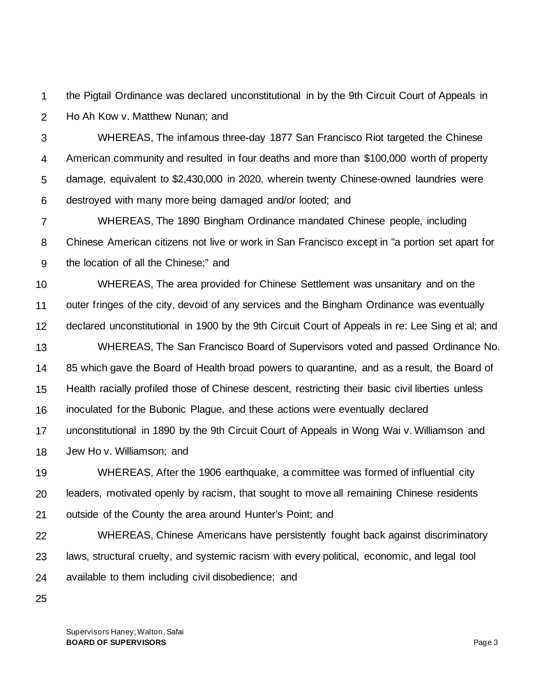1 2 the Pigtail Ordinance was declared unconstitutional in by the 9th Circuit Court of Appeals in Ho Ah Kow v. Matthew Nunan; and

3 4 5 6 WHEREAS, The infamous three-day 1877 San Francisco Riot targeted the Chinese American community and resulted in four deaths and more than \$100,000 worth of property damage, equivalent to \$2,430,000 in 2020, wherein twenty Chinese-owned laundries were destroyed with many more being damaged and/or looted; and

7 8 9 WHEREAS, The 1890 Bingham Ordinance mandated Chinese people, including Chinese American citizens not live or work in San Francisco except in "a portion set apart for the location of all the Chinese;" and

10 11 12 13 14 15 16 17 18 WHEREAS, The area provided for Chinese Settlement was unsanitary and on the outer fringes of the city, devoid of any services and the Bingham Ordinance was eventually declared unconstitutional in 1900 by the 9th Circuit Court of Appeals in re: Lee Sing et al; and WHEREAS, The San Francisco Board of Supervisors voted and passed Ordinance No. 85 which gave the Board of Health broad powers to quarantine, and as a result, the Board of Health racially profiled those of Chinese descent, restricting their basic civil liberties unless inoculated for the Bubonic Plague, and these actions were eventually declared unconstitutional in 1890 by the 9th Circuit Court of Appeals in Wong Wai v. Williamson and Jew Ho v. Williamson; and

19 20 21 WHEREAS, After the 1906 earthquake, a committee was formed of influential city leaders, motivated openly by racism, that sought to move all remaining Chinese residents outside of the County the area around Hunter's Point; and

22 23 24 WHEREAS, Chinese Americans have persistently fought back against discriminatory laws, structural cruelty, and systemic racism with every political, economic, and legal tool available to them including civil disobedience; and

25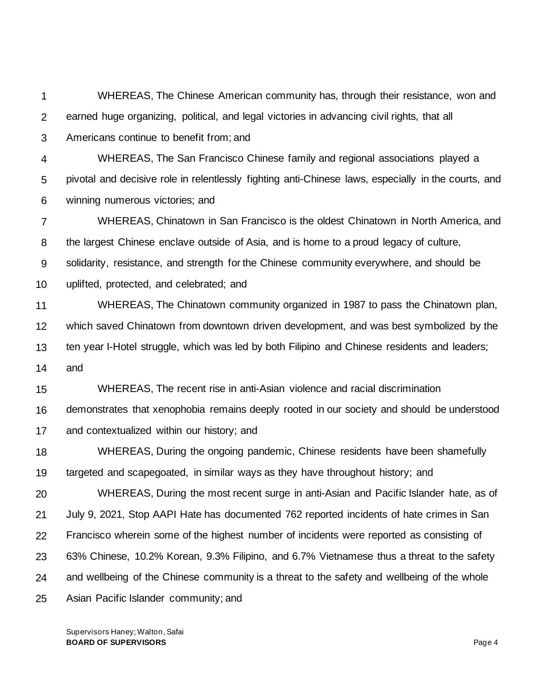1 2 3 WHEREAS, The Chinese American community has, through their resistance, won and earned huge organizing, political, and legal victories in advancing civil rights, that all Americans continue to benefit from; and

4 5 6 WHEREAS, The San Francisco Chinese family and regional associations played a pivotal and decisive role in relentlessly fighting anti-Chinese laws, especially in the courts, and winning numerous victories; and

7 8 WHEREAS, Chinatown in San Francisco is the oldest Chinatown in North America, and the largest Chinese enclave outside of Asia, and is home to a proud legacy of culture,

9 solidarity, resistance, and strength for the Chinese community everywhere, and should be

10 uplifted, protected, and celebrated; and

11 12 13 14 WHEREAS, The Chinatown community organized in 1987 to pass the Chinatown plan, which saved Chinatown from downtown driven development, and was best symbolized by the ten year I-Hotel struggle, which was led by both Filipino and Chinese residents and leaders; and

15 WHEREAS, The recent rise in anti-Asian violence and racial discrimination

16 17 demonstrates that xenophobia remains deeply rooted in our society and should be understood and contextualized within our history; and

18 19 WHEREAS, During the ongoing pandemic, Chinese residents have been shamefully targeted and scapegoated, in similar ways as they have throughout history; and

20 21 22 23 24 25 WHEREAS, During the most recent surge in anti-Asian and Pacific Islander hate, as of July 9, 2021, Stop AAPI Hate has documented 762 reported incidents of hate crimes in San Francisco wherein some of the highest number of incidents were reported as consisting of 63% Chinese, 10.2% Korean, 9.3% Filipino, and 6.7% Vietnamese thus a threat to the safety and wellbeing of the Chinese community is a threat to the safety and wellbeing of the whole Asian Pacific Islander community; and

Supervisors Haney; Walton, Safai **BOARD OF SUPERVISORS** Page 4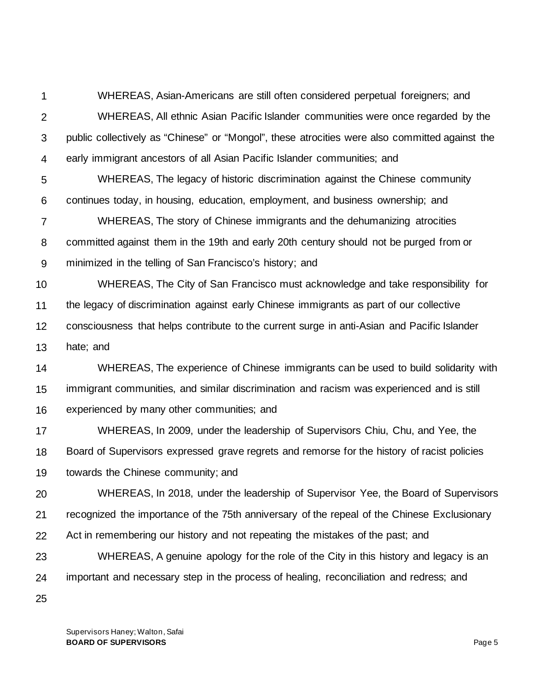1 2 3 4 WHEREAS, Asian-Americans are still often considered perpetual foreigners; and WHEREAS, All ethnic Asian Pacific Islander communities were once regarded by the public collectively as "Chinese" or "Mongol", these atrocities were also committed against the early immigrant ancestors of all Asian Pacific Islander communities; and

5 6 WHEREAS, The legacy of historic discrimination against the Chinese community continues today, in housing, education, employment, and business ownership; and

7 8 9 WHEREAS, The story of Chinese immigrants and the dehumanizing atrocities committed against them in the 19th and early 20th century should not be purged from or minimized in the telling of San Francisco's history; and

10 11 12 13 WHEREAS, The City of San Francisco must acknowledge and take responsibility for the legacy of discrimination against early Chinese immigrants as part of our collective consciousness that helps contribute to the current surge in anti-Asian and Pacific Islander hate; and

14 15 16 WHEREAS, The experience of Chinese immigrants can be used to build solidarity with immigrant communities, and similar discrimination and racism was experienced and is still experienced by many other communities; and

17 18 19 WHEREAS, In 2009, under the leadership of Supervisors Chiu, Chu, and Yee, the Board of Supervisors expressed grave regrets and remorse for the history of racist policies towards the Chinese community; and

20 21 22 WHEREAS, In 2018, under the leadership of Supervisor Yee, the Board of Supervisors recognized the importance of the 75th anniversary of the repeal of the Chinese Exclusionary Act in remembering our history and not repeating the mistakes of the past; and

23 24 WHEREAS, A genuine apology for the role of the City in this history and legacy is an important and necessary step in the process of healing, reconciliation and redress; and

25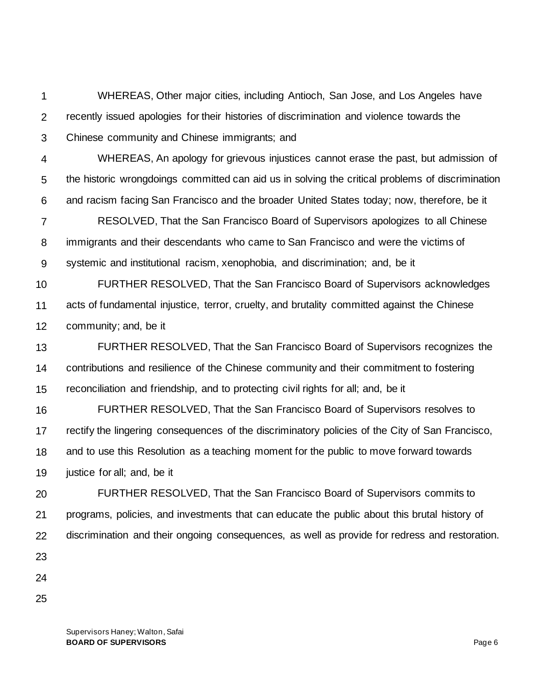1 2 3 WHEREAS, Other major cities, including Antioch, San Jose, and Los Angeles have recently issued apologies for their histories of discrimination and violence towards the Chinese community and Chinese immigrants; and

4 5 6 WHEREAS, An apology for grievous injustices cannot erase the past, but admission of the historic wrongdoings committed can aid us in solving the critical problems of discrimination and racism facing San Francisco and the broader United States today; now, therefore, be it

7 8 9 RESOLVED, That the San Francisco Board of Supervisors apologizes to all Chinese immigrants and their descendants who came to San Francisco and were the victims of systemic and institutional racism, xenophobia, and discrimination; and, be it

10 11 12 FURTHER RESOLVED, That the San Francisco Board of Supervisors acknowledges acts of fundamental injustice, terror, cruelty, and brutality committed against the Chinese community; and, be it

13 14 15 FURTHER RESOLVED, That the San Francisco Board of Supervisors recognizes the contributions and resilience of the Chinese community and their commitment to fostering reconciliation and friendship, and to protecting civil rights for all; and, be it

16 17 18 19 FURTHER RESOLVED, That the San Francisco Board of Supervisors resolves to rectify the lingering consequences of the discriminatory policies of the City of San Francisco, and to use this Resolution as a teaching moment for the public to move forward towards justice for all; and, be it

20 21 22 FURTHER RESOLVED, That the San Francisco Board of Supervisors commits to programs, policies, and investments that can educate the public about this brutal history of discrimination and their ongoing consequences, as well as provide for redress and restoration.

- 23
- 24
- 25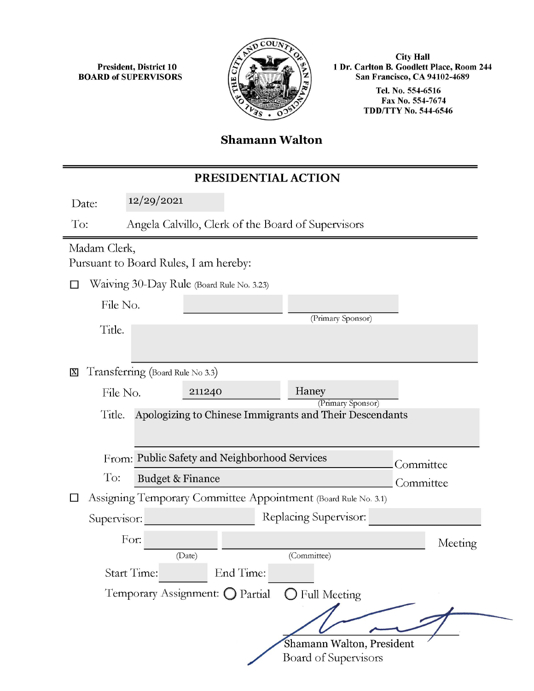President, District 10 BOARD of SUPERVISORS



City Hall 1 Dr. Carlton B. Goodlett Place, Room 244 San Francisco, CA 94102-4689 Tel. No. 554-6516 Fax No. 554-7674 TDD/TTY No. 544-6546

#### **Shamann Walton**

#### PRESIDENTIAL ACTION

Date: 12/29/2021

To: Angela Calvillo, Clerk of the Board of Supervisors

# Madam Clerk,

Pursuant to Board Rules, I am hereby:

D Waiving 30-Day Rule (Board Rule No. 3.23)

| File No. |                   |
|----------|-------------------|
|          | (Primary Sponsor) |

Title.

**X** Transferring (Board Rule No 3.3)

| File No.                                                       |                                               | 211240                          |  | Haney<br>(Primary Sponsor)                              |           |         |
|----------------------------------------------------------------|-----------------------------------------------|---------------------------------|--|---------------------------------------------------------|-----------|---------|
| Title.                                                         |                                               |                                 |  | Apologizing to Chinese Immigrants and Their Descendants |           |         |
|                                                                | From: Public Safety and Neighborhood Services |                                 |  | Committee                                               |           |         |
| To:                                                            | <b>Budget &amp; Finance</b>                   |                                 |  |                                                         | Committee |         |
| Assigning Temporary Committee Appointment (Board Rule No. 3.1) |                                               |                                 |  |                                                         |           |         |
| Supervisor:                                                    |                                               |                                 |  | Replacing Supervisor:                                   |           |         |
| For:                                                           |                                               |                                 |  |                                                         |           | Meeting |
|                                                                |                                               | (Date)                          |  | (Committee)                                             |           |         |
| <b>Start Time:</b>                                             |                                               | End Time:                       |  |                                                         |           |         |
|                                                                |                                               | Temporary Assignment: O Partial |  | $\bigcirc$ Full Meeting                                 |           |         |
|                                                                |                                               |                                 |  |                                                         |           |         |

Shamann Walton, President Board of Supervisors